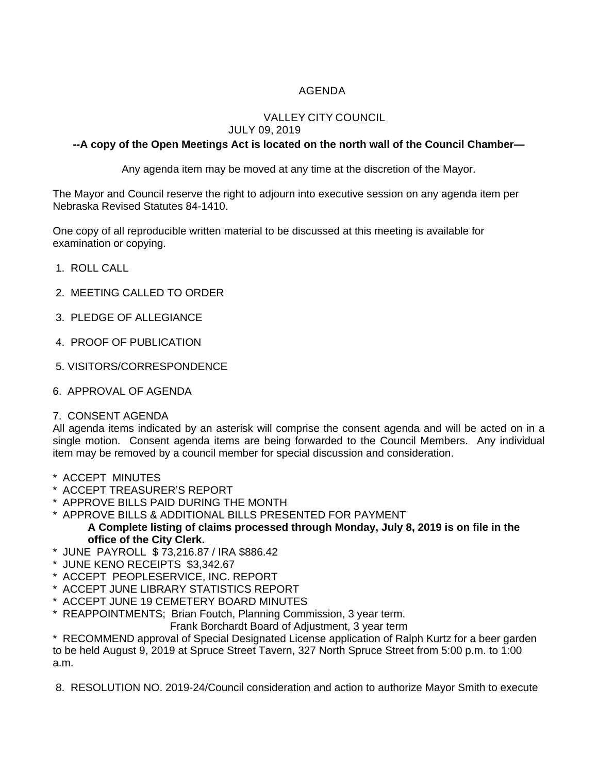# AGENDA

# VALLEY CITY COUNCIL

# JULY 09, 2019

# **--A copy of the Open Meetings Act is located on the north wall of the Council Chamber—**

Any agenda item may be moved at any time at the discretion of the Mayor.

The Mayor and Council reserve the right to adjourn into executive session on any agenda item per Nebraska Revised Statutes 84-1410.

One copy of all reproducible written material to be discussed at this meeting is available for examination or copying.

- 1. ROLL CALL
- 2. MEETING CALLED TO ORDER
- 3. PLEDGE OF ALLEGIANCE
- 4. PROOF OF PUBLICATION
- 5. VISITORS/CORRESPONDENCE
- 6. APPROVAL OF AGENDA

#### 7. CONSENT AGENDA

All agenda items indicated by an asterisk will comprise the consent agenda and will be acted on in a single motion. Consent agenda items are being forwarded to the Council Members. Any individual item may be removed by a council member for special discussion and consideration.

- \* ACCEPT MINUTES
- \* ACCEPT TREASURER'S REPORT
- \* APPROVE BILLS PAID DURING THE MONTH
- \* APPROVE BILLS & ADDITIONAL BILLS PRESENTED FOR PAYMENT **A Complete listing of claims processed through Monday, July 8, 2019 is on file in the office of the City Clerk.**
- \* JUNE PAYROLL \$ 73,216.87 / IRA \$886.42
- JUNE KENO RECEIPTS \$3,342.67
- \* ACCEPT PEOPLESERVICE, INC. REPORT
- \* ACCEPT JUNE LIBRARY STATISTICS REPORT
- \* ACCEPT JUNE 19 CEMETERY BOARD MINUTES
- \* REAPPOINTMENTS; Brian Foutch, Planning Commission, 3 year term.

Frank Borchardt Board of Adjustment, 3 year term

\* RECOMMEND approval of Special Designated License application of Ralph Kurtz for a beer garden to be held August 9, 2019 at Spruce Street Tavern, 327 North Spruce Street from 5:00 p.m. to 1:00 a.m.

8. RESOLUTION NO. 2019-24/Council consideration and action to authorize Mayor Smith to execute